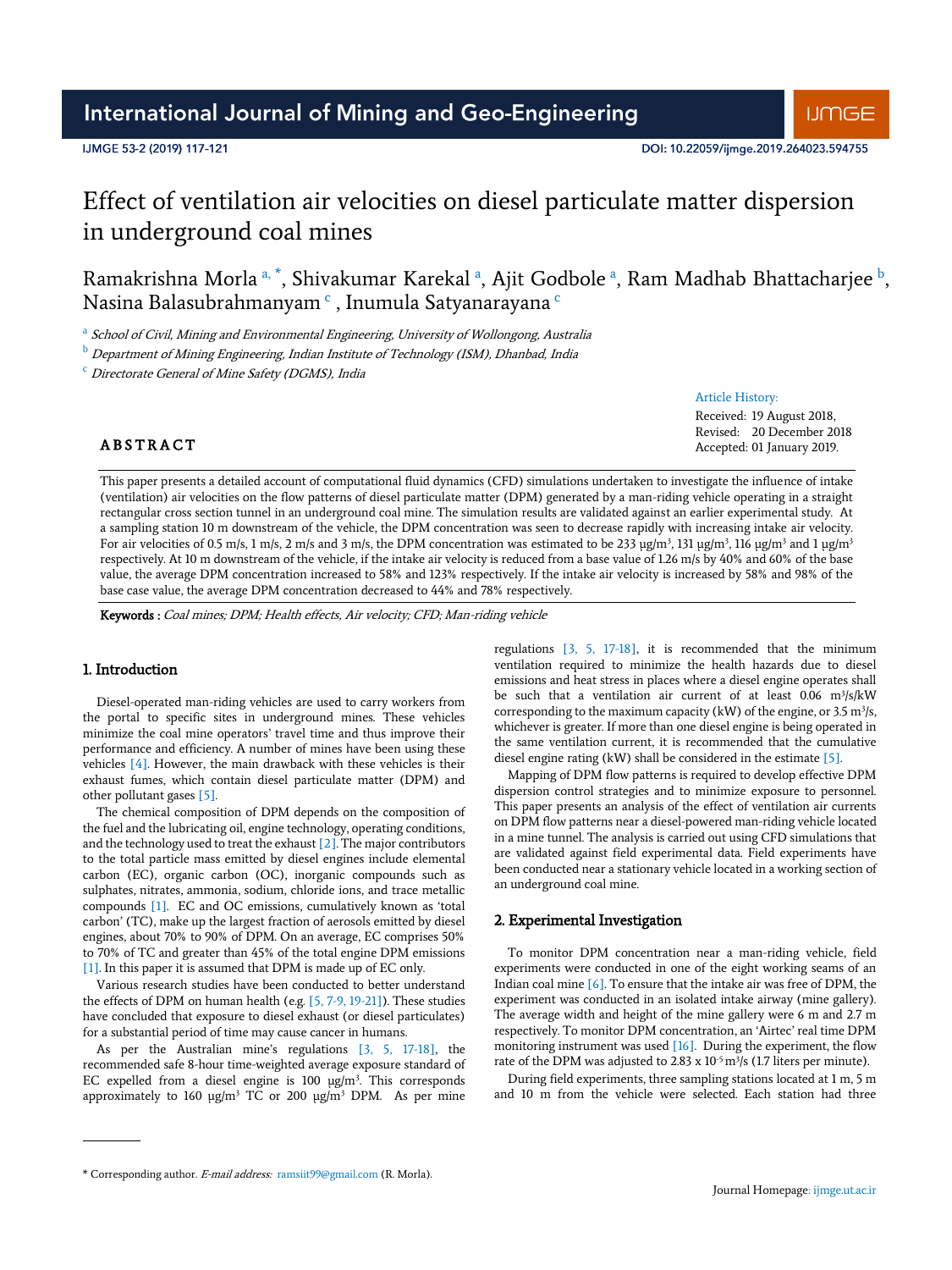# International Journal of Mining and Geo-Engineering

# IJMGE 53-2 (2019) 117-121

# Effect of ventilation air velocities on diesel particulate matter dispersion in underground coal mines

Ramakrishna Morla <sup>a, \*</sup>, Shivakumar Karekal <sup>a</sup>, Ajit Godbole <sup>a</sup>, Ram Madhab Bhattacharjee <sup>b</sup>, Nasina Balasubrahmanyam <sup>c</sup> , Inumula Satyanarayana <sup>c</sup>

<sup>a</sup> School of Civil, Mining and Environmental Engineering, University of Wollongong, Australia

**b** Department of Mining Engineering, Indian Institute of Technology (ISM), Dhanbad, India

 $\degree$  Directorate General of Mine Safety (DGMS), India

### Article History:

Received: 19 August 2018, Revised: 20 December 2018 Accepted: 01 January 2019.

# **ABSTRACT**

This paper presents a detailed account of computational fluid dynamics (CFD) simulations undertaken to investigate the influence of intake (ventilation) air velocities on the flow patterns of diesel particulate matter (DPM) generated by a man-riding vehicle operating in a straight rectangular cross section tunnel in an underground coal mine. The simulation results are validated against an earlier experimental study. At a sampling station 10 m downstream of the vehicle, the DPM concentration was seen to decrease rapidly with increasing intake air velocity. For air velocities of 0.5 m/s, 1 m/s, 2 m/s and 3 m/s, the DPM concentration was estimated to be 233 µg/m<sup>3</sup>, 131 µg/m<sup>3</sup>, 116 µg/m<sup>3</sup> and 1 µg/m<sup>3</sup> respectively. At 10 m downstream of the vehicle, if the intake air velocity is reduced from a base value of 1.26 m/s by 40% and 60% of the base value, the average DPM concentration increased to 58% and 123% respectively. If the intake air velocity is increased by 58% and 98% of the base case value, the average DPM concentration decreased to 44% and 78% respectively.

Keywords : Coal mines; DPM; Health effects, Air velocity; CFD; Man-riding vehicle

# 1. Introduction

Diesel-operated man-riding vehicles are used to carry workers from the portal to specific sites in underground mines. These vehicles minimize the coal mine operators' travel time and thus improve their performance and efficiency. A number of mines have been using these vehicles [4]. However, the main drawback with these vehicles is their exhaust fumes, which contain diesel particulate matter (DPM) and other pollutant gases [5].

The chemical composition of DPM depends on the composition of the fuel and the lubricating oil, engine technology, operating conditions, and the technology used to treat the exhaust [2]. The major contributors to the total particle mass emitted by diesel engines include elemental carbon (EC), organic carbon (OC), inorganic compounds such as sulphates, nitrates, ammonia, sodium, chloride ions, and trace metallic compounds [1]. EC and OC emissions, cumulatively known as 'total carbon' (TC), make up the largest fraction of aerosols emitted by diesel engines, about 70% to 90% of DPM. On an average, EC comprises 50% to 70% of TC and greater than 45% of the total engine DPM emissions [1]. In this paper it is assumed that DPM is made up of EC only.

Various research studies have been conducted to better understand the effects of DPM on human health (e.g. [5, 7-9, 19-21]). These studies have concluded that exposure to diesel exhaust (or diesel particulates) for a substantial period of time may cause cancer in humans.

As per the Australian mine's regulations [3, 5, 17-18], the recommended safe 8-hour time-weighted average exposure standard of EC expelled from a diesel engine is  $100 \text{ µg/m}^3$ . This corresponds approximately to 160  $\mu$ g/m<sup>3</sup> TC or 200  $\mu$ g/m<sup>3</sup> DPM. As per mine

regulations [3, 5, 17-18], it is recommended that the minimum ventilation required to minimize the health hazards due to diesel emissions and heat stress in places where a diesel engine operates shall be such that a ventilation air current of at least 0.06 m<sup>3</sup>/s/kW corresponding to the maximum capacity (kW) of the engine, or  $3.5 \text{ m}^3\text{/s}$ , whichever is greater. If more than one diesel engine is being operated in the same ventilation current, it is recommended that the cumulative diesel engine rating (kW) shall be considered in the estimate [5].

Mapping of DPM flow patterns is required to develop effective DPM dispersion control strategies and to minimize exposure to personnel. This paper presents an analysis of the effect of ventilation air currents on DPM flow patterns near a diesel-powered man-riding vehicle located in a mine tunnel. The analysis is carried out using CFD simulations that are validated against field experimental data. Field experiments have been conducted near a stationary vehicle located in a working section of an underground coal mine.

### 2. Experimental Investigation

To monitor DPM concentration near a man-riding vehicle, field experiments were conducted in one of the eight working seams of an Indian coal mine  $[6]$ . To ensure that the intake air was free of DPM, the experiment was conducted in an isolated intake airway (mine gallery). The average width and height of the mine gallery were 6 m and 2.7 m respectively. To monitor DPM concentration, an 'Airtec' real time DPM monitoring instrument was used [16]. During the experiment, the flow rate of the DPM was adjusted to 2.83 x  $10^{-5}$  m<sup>3</sup>/s (1.7 liters per minute).

During field experiments, three sampling stations located at 1 m, 5 m and 10 m from the vehicle were selected. Each station had three

<sup>\*</sup> Corresponding author. E-mail address: ramsiit99@gmail.com (R. Morla).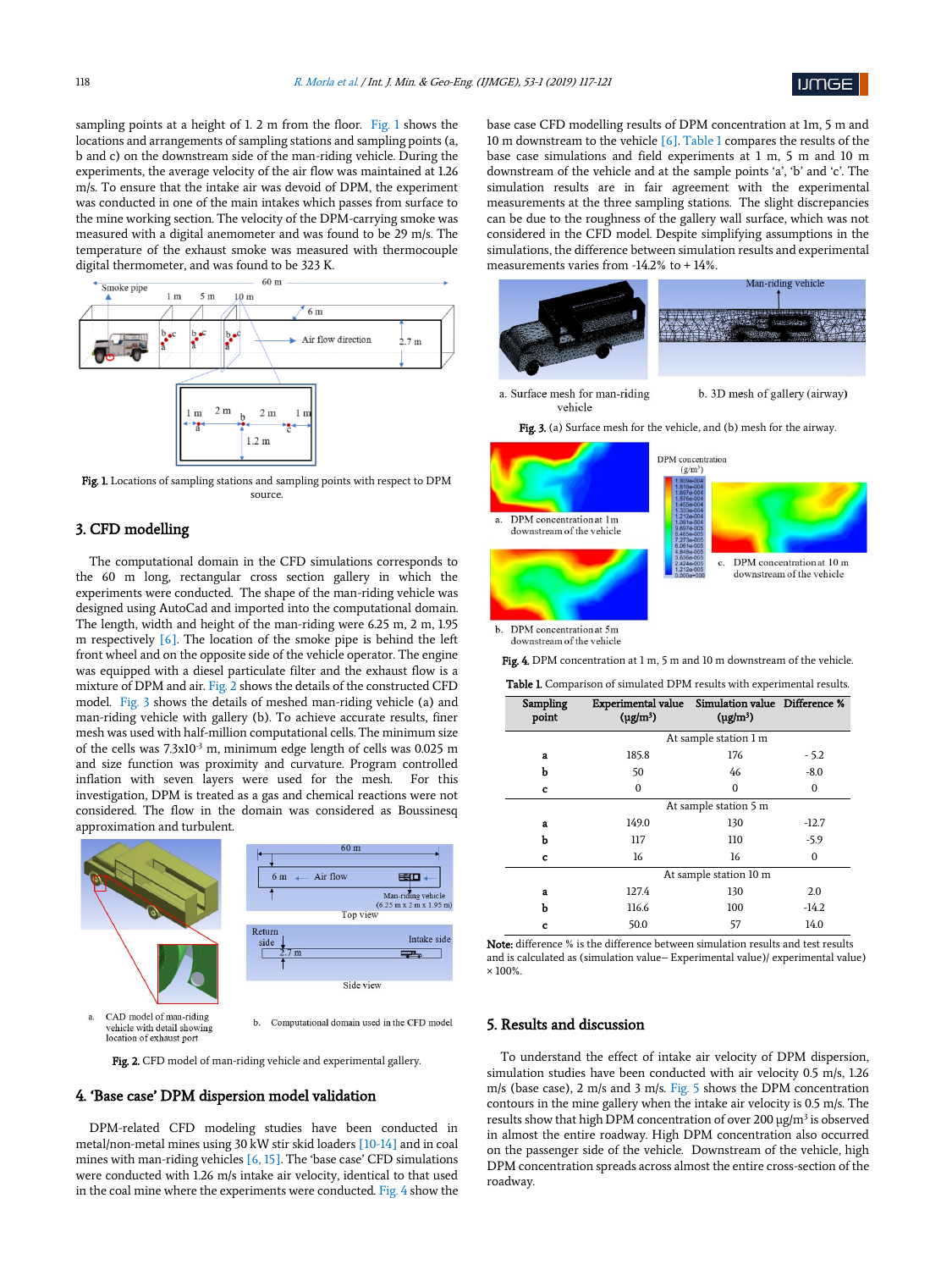

sampling points at a height of 1. 2 m from the floor. Fig. 1 shows the locations and arrangements of sampling stations and sampling points (a, b and c) on the downstream side of the man-riding vehicle. During the experiments, the average velocity of the air flow was maintained at 1.26 m/s. To ensure that the intake air was devoid of DPM, the experiment was conducted in one of the main intakes which passes from surface to the mine working section. The velocity of the DPM-carrying smoke was measured with a digital anemometer and was found to be 29 m/s. The temperature of the exhaust smoke was measured with thermocouple digital thermometer, and was found to be 323 K.



Fig. 1. Locations of sampling stations and sampling points with respect to DPM source.

# 3. CFD modelling

The computational domain in the CFD simulations corresponds to the 60 m long, rectangular cross section gallery in which the experiments were conducted. The shape of the man-riding vehicle was designed using AutoCad and imported into the computational domain. The length, width and height of the man-riding were 6.25 m, 2 m, 1.95 m respectively [6]. The location of the smoke pipe is behind the left front wheel and on the opposite side of the vehicle operator. The engine was equipped with a diesel particulate filter and the exhaust flow is a mixture of DPM and air. Fig. 2 shows the details of the constructed CFD model. Fig. 3 shows the details of meshed man-riding vehicle (a) and man-riding vehicle with gallery (b). To achieve accurate results, finer mesh was used with half-million computational cells. The minimum size of the cells was 7.3x10-3 m, minimum edge length of cells was 0.025 m and size function was proximity and curvature. Program controlled inflation with seven layers were used for the mesh. For this investigation, DPM is treated as a gas and chemical reactions were not considered. The flow in the domain was considered as Boussinesq approximation and turbulent.



vehicle with detail showing<br>location of exhaust port

Fig. 2. CFD model of man-riding vehicle and experimental gallery.

# 4. 'Base case' DPM dispersion model validation

DPM-related CFD modeling studies have been conducted in metal/non-metal mines using 30 kW stir skid loaders [10-14] and in coal mines with man-riding vehicles [6, 15]. The 'base case' CFD simulations were conducted with 1.26 m/s intake air velocity, identical to that used in the coal mine where the experiments were conducted. Fig. 4 show the base case CFD modelling results of DPM concentration at 1m, 5 m and 10 m downstream to the vehicle [6]. Table 1 compares the results of the base case simulations and field experiments at 1 m, 5 m and 10 m downstream of the vehicle and at the sample points 'a', 'b' and 'c'. The simulation results are in fair agreement with the experimental measurements at the three sampling stations. The slight discrepancies can be due to the roughness of the gallery wall surface, which was not considered in the CFD model. Despite simplifying assumptions in the simulations, the difference between simulation results and experimental measurements varies from -14.2% to + 14%.



Fig. 3. (a) Surface mesh for the vehicle, and (b) mesh for the airway.



downstream of the vehicle

Fig. 4. DPM concentration at 1 m, 5 m and 10 m downstream of the vehicle.

Table 1. Comparison of simulated DPM results with experimental results.

| <b>Table I.</b> Comparison of simulated DPM results with experimental results. |                                                                   |               |          |  |
|--------------------------------------------------------------------------------|-------------------------------------------------------------------|---------------|----------|--|
| <b>Sampling</b><br>point                                                       | Experimental value Simulation value Difference %<br>$(\mu g/m^3)$ | $(\mu g/m^3)$ |          |  |
|                                                                                | At sample station 1 m                                             |               |          |  |
| a                                                                              | 185.8                                                             | 176           | $-5.2$   |  |
| ь                                                                              | 50                                                                | 46            | $-8.0$   |  |
| c                                                                              | 0                                                                 | $\mathbf{0}$  | $\Omega$ |  |
|                                                                                | At sample station 5 m                                             |               |          |  |
| a                                                                              | 149.0                                                             | 130           | $-12.7$  |  |
| b                                                                              | 117                                                               | 110           | $-5.9$   |  |
| c                                                                              | 16                                                                | 16            | 0        |  |
|                                                                                | At sample station 10 m                                            |               |          |  |
| a                                                                              | 127.4                                                             | 130           | 2.0      |  |
| ь                                                                              | 116.6                                                             | 100           | $-14.2$  |  |
| c                                                                              | 50.0                                                              | 57            | 14.0     |  |

Note: difference % is the difference between simulation results and test results and is calculated as (simulation value– Experimental value)/ experimental value) × 100%.

# 5. Results and discussion

To understand the effect of intake air velocity of DPM dispersion, simulation studies have been conducted with air velocity 0.5 m/s, 1.26 m/s (base case), 2 m/s and 3 m/s. Fig. 5 shows the DPM concentration contours in the mine gallery when the intake air velocity is 0.5 m/s. The results show that high DPM concentration of over 200 µg/m<sup>3</sup> is observed in almost the entire roadway. High DPM concentration also occurred on the passenger side of the vehicle. Downstream of the vehicle, high DPM concentration spreads across almost the entire cross-section of the roadway.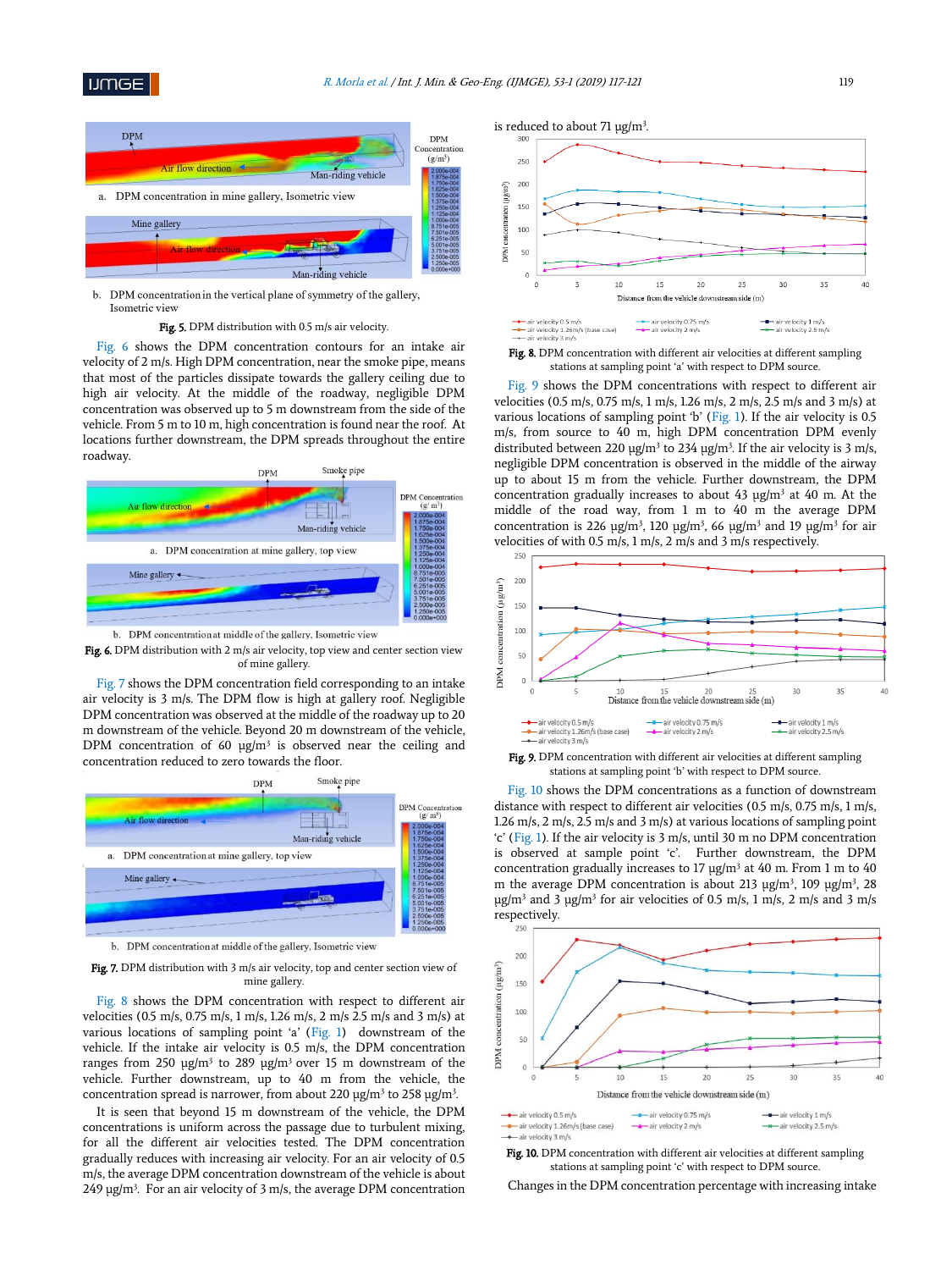

b. DPM concentration in the vertical plane of symmetry of the gallery, Isometric view

#### Fig. 5. DPM distribution with 0.5 m/s air velocity.

Fig. 6 shows the DPM concentration contours for an intake air velocity of 2 m/s. High DPM concentration, near the smoke pipe, means that most of the particles dissipate towards the gallery ceiling due to high air velocity. At the middle of the roadway, negligible DPM concentration was observed up to 5 m downstream from the side of the vehicle. From 5 m to 10 m, high concentration is found near the roof. At locations further downstream, the DPM spreads throughout the entire roadway.



b. DPM concentration at middle of the gallery, Isometric view



Fig. 7 shows the DPM concentration field corresponding to an intake air velocity is 3 m/s. The DPM flow is high at gallery roof. Negligible DPM concentration was observed at the middle of the roadway up to 20 m downstream of the vehicle. Beyond 20 m downstream of the vehicle, DPM concentration of 60  $\mu$ g/m<sup>3</sup> is observed near the ceiling and concentration reduced to zero towards the floor.



b. DPM concentration at middle of the gallery, Isometric view

Fig. 7. DPM distribution with 3 m/s air velocity, top and center section view of mine gallery.

Fig. 8 shows the DPM concentration with respect to different air velocities (0.5 m/s, 0.75 m/s, 1 m/s, 1.26 m/s, 2 m/s 2.5 m/s and 3 m/s) at various locations of sampling point 'a' (Fig. 1) downstream of the vehicle. If the intake air velocity is 0.5 m/s, the DPM concentration ranges from 250  $\mu$ g/m<sup>3</sup> to 289  $\mu$ g/m<sup>3</sup> over 15 m downstream of the vehicle. Further downstream, up to 40 m from the vehicle, the concentration spread is narrower, from about 220  $\mu$ g/m $^3$  to 258  $\mu$ g/m $^3$ .

It is seen that beyond 15 m downstream of the vehicle, the DPM concentrations is uniform across the passage due to turbulent mixing, for all the different air velocities tested. The DPM concentration gradually reduces with increasing air velocity. For an air velocity of 0.5 m/s, the average DPM concentration downstream of the vehicle is about  $249 \mu g/m<sup>3</sup>$ . For an air velocity of 3 m/s, the average DPM concentration





Fig. 9 shows the DPM concentrations with respect to different air velocities (0.5 m/s, 0.75 m/s, 1 m/s, 1.26 m/s, 2 m/s, 2.5 m/s and 3 m/s) at various locations of sampling point 'b' (Fig. 1). If the air velocity is 0.5 m/s, from source to 40 m, high DPM concentration DPM evenly distributed between 220  $\mu$ g/m<sup>3</sup> to 234  $\mu$ g/m<sup>3</sup>. If the air velocity is 3 m/s, negligible DPM concentration is observed in the middle of the airway up to about 15 m from the vehicle. Further downstream, the DPM concentration gradually increases to about  $43 \text{ µg/m}^3$  at  $40 \text{ m}$ . At the middle of the road way, from 1 m to 40 m the average DPM concentration is 226  $\mu$ g/m<sup>3</sup>, 120  $\mu$ g/m<sup>3</sup>, 66  $\mu$ g/m<sup>3</sup> and 19  $\mu$ g/m<sup>3</sup> for air velocities of with 0.5 m/s, 1 m/s, 2 m/s and 3 m/s respectively.



Fig. 9. DPM concentration with different air velocities at different sampling stations at sampling point 'b' with respect to DPM source.

Fig. 10 shows the DPM concentrations as a function of downstream distance with respect to different air velocities (0.5 m/s, 0.75 m/s, 1 m/s, 1.26 m/s, 2 m/s, 2.5 m/s and 3 m/s) at various locations of sampling point 'c' (Fig. 1). If the air velocity is 3 m/s, until 30 m no DPM concentration is observed at sample point 'c'. Further downstream, the DPM concentration gradually increases to 17  $\mu$ g/m<sup>3</sup> at 40 m. From 1 m to 40 m the average DPM concentration is about 213  $\mu$ g/m<sup>3</sup>, 109  $\mu$ g/m<sup>3</sup>, 28  $\mu$ g/m<sup>3</sup> and 3  $\mu$ g/m<sup>3</sup> for air velocities of 0.5 m/s, 1 m/s, 2 m/s and 3 m/s respectively.



Fig. 10. DPM concentration with different air velocities at different sampling stations at sampling point 'c' with respect to DPM source.

Changes in the DPM concentration percentage with increasing intake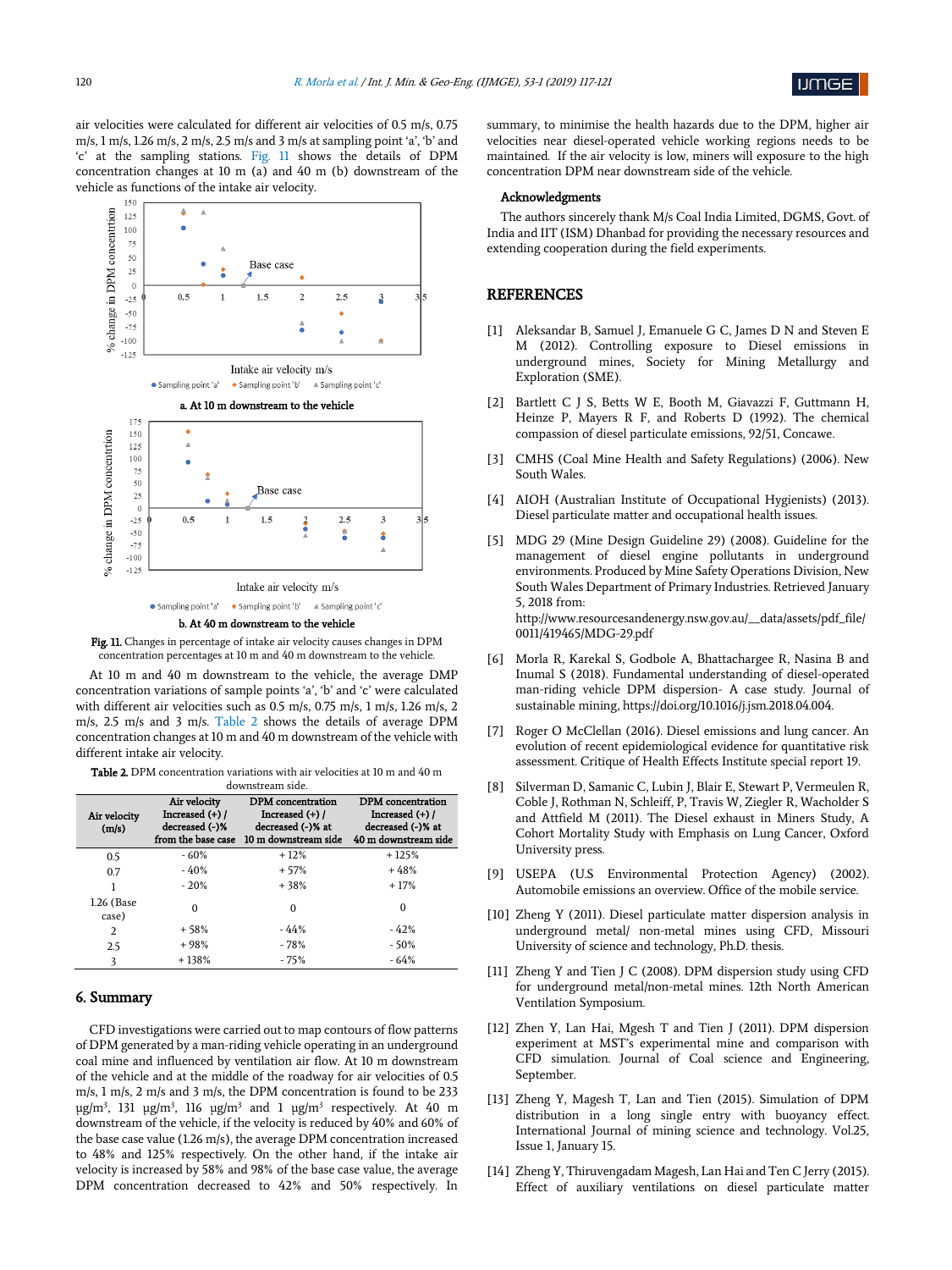air velocities were calculated for different air velocities of 0.5 m/s, 0.75 m/s, 1 m/s, 1.26 m/s, 2 m/s, 2.5 m/s and 3 m/s at sampling point 'a', 'b' and 'c' at the sampling stations. Fig. 11 shows the details of DPM concentration changes at 10 m (a) and 40 m (b) downstream of the vehicle as functions of the intake air velocity.



Fig. 11. Changes in percentage of intake air velocity causes changes in DPM concentration percentages at 10 m and 40 m downstream to the vehicle.

At 10 m and 40 m downstream to the vehicle, the average DMP concentration variations of sample points 'a', 'b' and 'c' were calculated with different air velocities such as 0.5 m/s, 0.75 m/s, 1 m/s, 1.26 m/s, 2 m/s, 2.5 m/s and 3 m/s. Table 2 shows the details of average DPM concentration changes at 10 m and 40 m downstream of the vehicle with different intake air velocity.

Table 2. DPM concentration variations with air velocities at 10 m and 40 m downstream side.

| Air velocity<br>(m/s) | Air velocity<br>Increased (+) /<br>decreased (-)%<br>from the base case | <b>DPM</b> concentration<br>Increased $(+)$ /<br>decreased (-)% at<br>10 m downstream side | DPM concentration<br>Increased $(+)$ /<br>decreased (-)% at<br>40 m downstream side |
|-----------------------|-------------------------------------------------------------------------|--------------------------------------------------------------------------------------------|-------------------------------------------------------------------------------------|
| 0.5                   | $-60%$                                                                  | $+12%$                                                                                     | $+125%$                                                                             |
| 0.7                   | $-40%$                                                                  | $+57%$                                                                                     | $+48%$                                                                              |
|                       | $-20%$                                                                  | $+38%$                                                                                     | $+17%$                                                                              |
| 1.26 (Base<br>case)   | $\Omega$                                                                | $\Omega$                                                                                   | $\Omega$                                                                            |
| $\overline{2}$        | $+58%$                                                                  | $-44%$                                                                                     | $-42%$                                                                              |
| 2.5                   | $+98%$                                                                  | $-78%$                                                                                     | $-50%$                                                                              |
| 3                     | $+138%$                                                                 | $-75%$                                                                                     | $-64%$                                                                              |

# 6. Summary

CFD investigations were carried out to map contours of flow patterns of DPM generated by a man-riding vehicle operating in an underground coal mine and influenced by ventilation air flow. At 10 m downstream of the vehicle and at the middle of the roadway for air velocities of 0.5 m/s, 1 m/s, 2 m/s and 3 m/s, the DPM concentration is found to be 233  $\mu$ g/m<sup>3</sup>, 131  $\mu$ g/m<sup>3</sup>, 116  $\mu$ g/m<sup>3</sup> and 1  $\mu$ g/m<sup>3</sup> respectively. At 40 m downstream of the vehicle, if the velocity is reduced by 40% and 60% of the base case value (1.26 m/s), the average DPM concentration increased to 48% and 125% respectively. On the other hand, if the intake air velocity is increased by 58% and 98% of the base case value, the average DPM concentration decreased to 42% and 50% respectively. In

summary, to minimise the health hazards due to the DPM, higher air velocities near diesel-operated vehicle working regions needs to be maintained. If the air velocity is low, miners will exposure to the high concentration DPM near downstream side of the vehicle.

#### Acknowledgments

The authors sincerely thank M/s Coal India Limited, DGMS, Govt. of India and IIT (ISM) Dhanbad for providing the necessary resources and extending cooperation during the field experiments.

## **REFERENCES**

- [1] Aleksandar B, Samuel J, Emanuele G C, James D N and Steven E M (2012). Controlling exposure to Diesel emissions in underground mines, Society for Mining Metallurgy and Exploration (SME).
- [2] Bartlett C J S, Betts W E, Booth M, Giavazzi F, Guttmann H, Heinze P, Mayers R F, and Roberts D (1992). The chemical compassion of diesel particulate emissions, 92/51, Concawe.
- [3] CMHS (Coal Mine Health and Safety Regulations) (2006). New South Wales.
- [4] AIOH (Australian Institute of Occupational Hygienists) (2013). Diesel particulate matter and occupational health issues.
- [5] MDG 29 (Mine Design Guideline 29) (2008). Guideline for the management of diesel engine pollutants in underground environments. Produced by Mine Safety Operations Division, New South Wales Department of Primary Industries. Retrieved January 5, 2018 from: http://www.resourcesandenergy.nsw.gov.au/\_\_data/assets/pdf\_file/

0011/419465/MDG-29.pdf [6] Morla R, Karekal S, Godbole A, Bhattachargee R, Nasina B and

- Inumal S (2018). Fundamental understanding of diesel-operated man-riding vehicle DPM dispersion- A case study. Journal of sustainable mining, https://doi.org/10.1016/j.jsm.2018.04.004.
- [7] Roger O McClellan (2016). Diesel emissions and lung cancer. An evolution of recent epidemiological evidence for quantitative risk assessment. Critique of Health Effects Institute special report 19.
- [8] Silverman D, Samanic C, Lubin J, Blair E, Stewart P, Vermeulen R, Coble J, Rothman N, Schleiff, P, Travis W, Ziegler R, Wacholder S and Attfield M (2011). The Diesel exhaust in Miners Study, A Cohort Mortality Study with Emphasis on Lung Cancer, Oxford University press.
- [9] USEPA (U.S Environmental Protection Agency) (2002). Automobile emissions an overview. Office of the mobile service.
- [10] Zheng Y (2011). Diesel particulate matter dispersion analysis in underground metal/ non-metal mines using CFD, Missouri University of science and technology, Ph.D. thesis.
- [11] Zheng Y and Tien J C (2008). DPM dispersion study using CFD for underground metal/non-metal mines. 12th North American Ventilation Symposium.
- [12] Zhen Y, Lan Hai, Mgesh T and Tien J (2011). DPM dispersion experiment at MST's experimental mine and comparison with CFD simulation. Journal of Coal science and Engineering, September.
- [13] Zheng Y, Magesh T, Lan and Tien (2015). Simulation of DPM distribution in a long single entry with buoyancy effect. International Journal of mining science and technology. Vol.25, Issue 1, January 15.
- [14] Zheng Y, Thiruvengadam Magesh, Lan Hai and Ten C Jerry (2015). Effect of auxiliary ventilations on diesel particulate matter